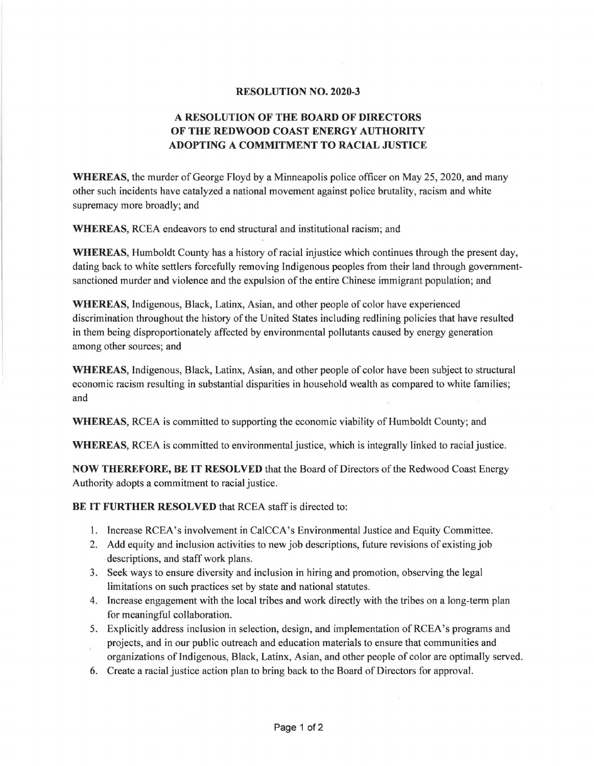## **RESOLUTION NO. 2020-3**

## **A RESOLUTION OF THE BOARD OF DIRECTORS OF THE REDWOOD COAST ENERGY AUTHORITY ADOPTING A COMMITMENT TO RACIAL JUSTICE**

**WHEREAS,** the murder of George Floyd by a Minneapolis police officer on May 25, 2020, and many other such incidents have catalyzed a national movement against police brutality, racism and white supremacy more broadly; and

**WHEREAS,** RCEA endeavors to end structural and institutional racism; and

WHEREAS, Humboldt County has a history of racial injustice which continues through the present day, dating back to white settlers forcefully removing Indigenous peoples from their land through governmentsanctioned murder and violence and the expulsion of the entire Chinese immigrant population; and

**WHEREAS,** Indigenous, Black, Latinx, Asian, and other people of color have experienced discrimination throughout the history of the United States including redlining policies that have resulted in them being disproportionately affected by environmental pollutants caused by energy generation among other sources; and

**WHEREAS,** Indigenous, Black, Latinx, Asian, and other people of color have been subject to structural economic racism resulting in substantial disparities in household wealth as compared to white families; and

**WHEREAS,** RCEA is committed to supporting the economic viability of Humboldt County; and

**WHEREAS,** RCEA is committed to environmental justice, which is integrally linked to racialjustice.

**NOW THEREFORE, BE IT RESOLVED** that the Board of Directors of the Redwood Coast Energy Authority adopts a commitment to racial justice.

**BE IT FURTHER RESOLVED** that RCEA staff is directed to:

- 1. Increase RCEA's involvement in CalCCA's Environmental Justice and Equity Committee.
- 2. Add equity and inclusion activities to new job descriptions, future revisions of existing job descriptions, and staff work plans.
- 3. Seek ways to ensure diversity and inclusion in hiring and promotion, observing the legal limitations on such practices set by state and national statutes.
- 4. Increase engagement with the local tribes and work directly with the tribes on a long-term plan for meaningful collaboration.
- S. Explicitly address inclusion in selection, design, and implementation of RCEA's programs and
- projects, and in our public outreach and education materials to ensure that communities and organizations of Indigenous, Black, Latinx, Asian, and other people of color are optimally served.
- 6. Create a racial justice action plan to bring back to the Board of Directors for approval.